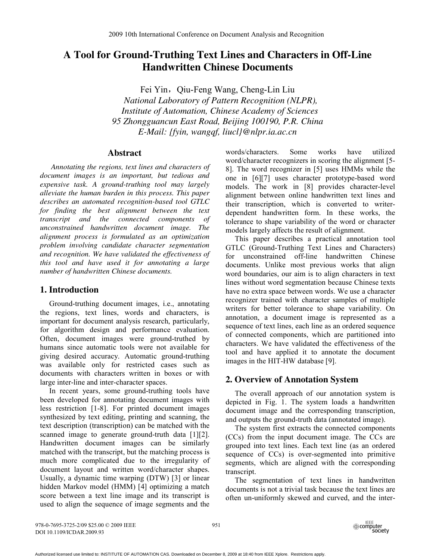# **A Tool for Ground-Truthing Text Lines and Characters in Off-Line Handwritten Chinese Documents**

Fei Yin, Qiu-Feng Wang, Cheng-Lin Liu  *National Laboratory of Pattern Recognition (NLPR), Institute of Automation, Chinese Academy of Sciences 95 Zhongguancun East Road, Beijing 100190, P.R. China E-Mail: {fyin, wangqf, liucl}@nlpr.ia.ac.cn* 

### **Abstract**

 *Annotating the regions, text lines and characters of document images is an important, but tedious and expensive task. A ground-truthing tool may largely alleviate the human burden in this process. This paper describes an automated recognition-based tool GTLC for finding the best alignment between the text transcript and the connected components of unconstrained handwritten document image. The alignment process is formulated as an optimization problem involving candidate character segmentation and recognition. We have validated the effectiveness of this tool and have used it for annotating a large number of handwritten Chinese documents.* 

## **1. Introduction**

Ground-truthing document images, i.e., annotating the regions, text lines, words and characters, is important for document analysis research, particularly, for algorithm design and performance evaluation. Often, document images were ground-truthed by humans since automatic tools were not available for giving desired accuracy. Automatic ground-truthing was available only for restricted cases such as documents with characters written in boxes or with large inter-line and inter-character spaces.

In recent years, some ground-truthing tools have been developed for annotating document images with less restriction [1-8]. For printed document images synthesized by text editing, printing and scanning, the text description (transcription) can be matched with the scanned image to generate ground-truth data [1][2]. Handwritten document images can be similarly matched with the transcript, but the matching process is much more complicated due to the irregularity of document layout and written word/character shapes. Usually, a dynamic time warping (DTW) [3] or linear hidden Markov model (HMM) [4] optimizing a match score between a text line image and its transcript is used to align the sequence of image segments and the

words/characters. Some works have utilized word/character recognizers in scoring the alignment [5- 8]. The word recognizer in [5] uses HMMs while the one in [6][7] uses character prototype-based word models. The work in [8] provides character-level alignment between online handwritten text lines and their transcription, which is converted to writerdependent handwritten form. In these works, the tolerance to shape variability of the word or character models largely affects the result of alignment.

This paper describes a practical annotation tool GTLC (Ground-Truthing Text Lines and Characters) for unconstrained off-line handwritten Chinese documents. Unlike most previous works that align word boundaries, our aim is to align characters in text lines without word segmentation because Chinese texts have no extra space between words. We use a character recognizer trained with character samples of multiple writers for better tolerance to shape variability. On annotation, a document image is represented as a sequence of text lines, each line as an ordered sequence of connected components, which are partitioned into characters. We have validated the effectiveness of the tool and have applied it to annotate the document images in the HIT-HW database [9].

## **2. Overview of Annotation System**

The overall approach of our annotation system is depicted in Fig. 1. The system loads a handwritten document image and the corresponding transcription, and outputs the ground-truth data (annotated image).

The system first extracts the connected components (CCs) from the input document image. The CCs are grouped into text lines. Each text line (as an ordered sequence of CCs) is over-segmented into primitive segments, which are aligned with the corresponding transcript.

The segmentation of text lines in handwritten documents is not a trivial task because the text lines are often un-uniformly skewed and curved, and the inter-

978-0-7695-3725-2/09 \$25.00 © 2009 IEEE DOI 10.1109/ICDAR.2009.93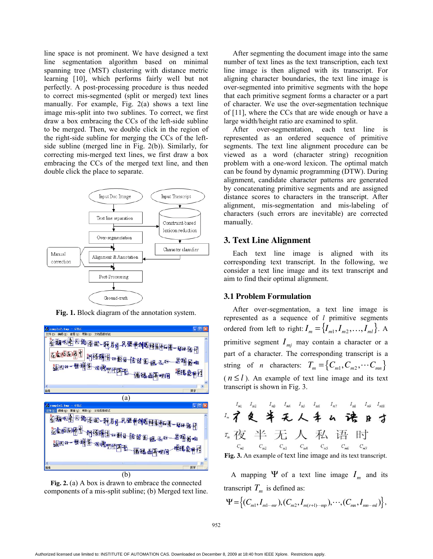line space is not prominent. We have designed a text line segmentation algorithm based on minimal spanning tree (MST) clustering with distance metric learning [10], which performs fairly well but not perfectly. A post-processing procedure is thus needed to correct mis-segmented (split or merged) text lines manually. For example, Fig. 2(a) shows a text line image mis-split into two sublines. To correct, we first draw a box embracing the CCs of the left-side subline to be merged. Then, we double click in the region of the right-side subline for merging the CCs of the leftside subline (merged line in Fig. 2(b)). Similarly, for correcting mis-merged text lines, we first draw a box embracing the CCs of the merged text line, and then double click the place to separate.



**Fig. 1.** Block diagram of the annotation system.



**Fig. 2.** (a) A box is drawn to embrace the connected components of a mis-split subline; (b) Merged text line.

After segmenting the document image into the same number of text lines as the text transcription, each text line image is then aligned with its transcript. For aligning character boundaries, the text line image is over-segmented into primitive segments with the hope that each primitive segment forms a character or a part of character. We use the over-segmentation technique of [11], where the CCs that are wide enough or have a large width/height ratio are examined to split.

After over-segmentation, each text line is represented as an ordered sequence of primitive segments. The text line alignment procedure can be viewed as a word (character string) recognition problem with a one-word lexicon. The optimal match can be found by dynamic programming (DTW). During alignment, candidate character patterns are generated by concatenating primitive segments and are assigned distance scores to characters in the transcript. After alignment, mis-segmentation and mis-labeling of characters (such errors are inevitable) are corrected manually.

### **3. Text Line Alignment**

Each text line image is aligned with its corresponding text transcript. In the following, we consider a text line image and its text transcript and aim to find their optimal alignment.

#### **3.1 Problem Formulation**

After over-segmentation, a text line image is represented as a sequence of *l* primitive segments ordered from left to right:  $I_m = \{I_{m1}, I_{m2}, \ldots, I_{m}\}\$ . A primitive segment  $I_{mi}$  may contain a character or a part of a character. The corresponding transcript is a string of *n* characters:  $T_m = \{C_{m1}, C_{m2}, \cdots C_{mn}\}$  $(n \le l)$ . An example of text line image and its text transcript is shown in Fig. 3.



A mapping  $\Psi$  of a text line image  $I_m$  and its transcript  $T_m$  is defined as:

$$
\Psi = \left\{ (C_{m1}, I_{m1 \cdots m}) , (C_{m2}, I_{m(r+1)\cdots m}) , \cdots , (C_{mn}, I_{mn \cdots m}) \right\},
$$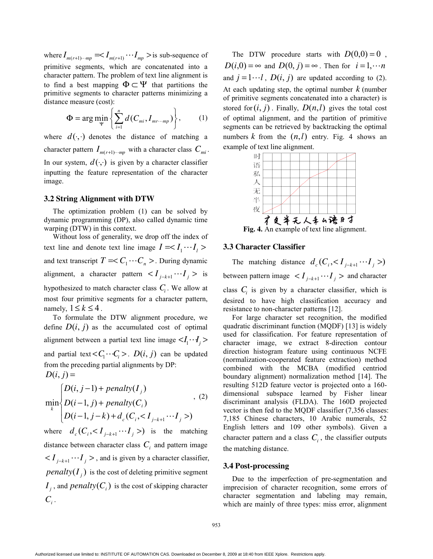where  $I_{m(r+1)\cdots mp} = < I_{m(r+1)} \cdots I_{mp} >$  is sub-sequence of primitive segments, which are concatenated into a character pattern. The problem of text line alignment is to find a best mapping  $\Phi \subset \Psi$  that partitions the primitive segments to character patterns minimizing a distance measure (cost):

$$
\Phi = \arg\min_{\Psi} \left\{ \sum_{i=1}^{n} d(C_{mi}, I_{mr\cdots mp}) \right\},\qquad(1)
$$

where  $d(\cdot, \cdot)$  denotes the distance of matching a character pattern  $I_{m(r+1)\cdots mn}$  with a character class  $C_{mi}$ . In our system,  $d(\cdot, \cdot)$  is given by a character classifier inputting the feature representation of the character image.

#### **3.2 String Alignment with DTW**

The optimization problem (1) can be solved by dynamic programming (DP), also called dynamic time warping (DTW) in this context.

Without loss of generality, we drop off the index of text line and denote text line image  $I = I_1 \cdots I_l$ and text transcript  $T = < C_1 \cdots C_n >$ . During dynamic alignment, a character pattern  $\langle I_{i-k+1} \cdots I_i \rangle$  is hypothesized to match character class  $C_i$ . We allow at most four primitive segments for a character pattern, namely,  $1 \leq k \leq 4$ .

To formulate the DTW alignment procedure, we define  $D(i, j)$  as the accumulated cost of optimal alignment between a partial text line image  $\langle I_1 \cdot I_j \rangle$ and partial text  $\langle C_1 \cdots C_i \rangle$ .  $D(i, j)$  can be updated from the preceding partial alignments by DP:  $D(i, j) =$ 

$$
\min_{k} \begin{cases} D(i, j-1) + penalty(I_j) \\ D(i-1, j) + penalty(C_i) \\ D(i-1, j-k) + d_c(C_i, < I_{j-k+1} \cdots I_j) \end{cases}
$$

where  $d_c$  (  $C_i$ , <  $I_{j-k+1}$   $\cdots$   $I_j$  > ) is the matching distance between character class  $C_i$  and pattern image  $I_j = I_{j-k+1}$   $II_j$  > , and is given by a character classifier, *penalty*  $(I_i)$  is the cost of deleting primitive segment  $I_i$ , and  $penalty$  $(C_i)$  is the cost of skipping character  $C_i$ .

The DTW procedure starts with  $D(0,0) = 0$ ,  $D(i,0) = \infty$  and  $D(0, i) = \infty$ . Then for  $i = 1, \dots n$ and  $j = 1 \cdots l$ ,  $D(i, j)$  are updated according to (2). At each updating step, the optimal number *k* (number of primitive segments concatenated into a character) is stored for  $(i, j)$ . Finally,  $D(n, l)$  gives the total cost of optimal alignment, and the partition of primitive segments can be retrieved by backtracking the optimal numbers  $k$  from the  $(n, l)$  entry. Fig. 4 shows an example of text line alignment.



**Fig. 4.** An example of text line alignment.

#### **3.3 Character Classifier**

The matching distance  $d_c$  (  $C_i$ , <  $I_{i-k+1}$   $\cdots$   $I_i$  >) between pattern image  $\langle I_{j-k+1} \cdots I_j \rangle$  and character class  $C<sub>i</sub>$  is given by a character classifier, which is desired to have high classification accuracy and resistance to non-character patterns [12].

For large character set recognition, the modified quadratic discriminant function (MQDF) [13] is widely used for classification. For feature representation of character image, we extract 8-direction contour direction histogram feature using continuous NCFE (normalization-cooperated feature extraction) method combined with the MCBA (modified centriod boundary alignment) normalization method [14]. The resulting 512D feature vector is projected onto a 160 dimensional subspace learned by Fisher linear discriminant analysis (FLDA). The 160D projected vector is then fed to the MQDF classifier (7,356 classes: 7,185 Chinese characters, 10 Arabic numerals, 52 English letters and 109 other symbols). Given a character pattern and a class  $C_i$ , the classifier outputs the matching distance.

#### **3.4 Post-processing**

Due to the imperfection of pre-segmentation and imprecision of character recognition, some errors of character segmentation and labeling may remain, which are mainly of three types: miss error, alignment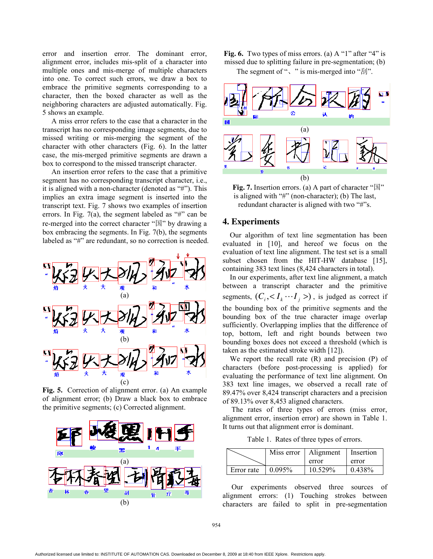error and insertion error. The dominant error, alignment error, includes mis-split of a character into multiple ones and mis-merge of multiple characters into one. To correct such errors, we draw a box to embrace the primitive segments corresponding to a character, then the boxed character as well as the neighboring characters are adjusted automatically. Fig. 5 shows an example.

A miss error refers to the case that a character in the transcript has no corresponding image segments, due to missed writing or mis-merging the segment of the character with other characters (Fig. 6). In the latter case, the mis-merged primitive segments are drawn a box to correspond to the missed transcript character.

An insertion error refers to the case that a primitive segment has no corresponding transcript character, i.e., it is aligned with a non-character (denoted as "#"). This implies an extra image segment is inserted into the transcript text. Fig. 7 shows two examples of insertion errors. In Fig. 7(a), the segment labeled as "#" can be re-merged into the correct character " $\mathbb{E}$ " by drawing a box embracing the segments. In Fig. 7(b), the segments labeled as "#" are redundant, so no correction is needed.



**Fig. 5.** Correction of alignment error. (a) An example of alignment error; (b) Draw a black box to embrace the primitive segments; (c) Corrected alignment.



Fig. 6. Two types of miss errors. (a) A "1" after "4" is missed due to splitting failure in pre-segmentation; (b)

The segment of " $\cdot$ " is mis-merged into " $\text{F}$ ".



**Fig. 7.** Insertion errors. (a) A part of character "国" is aligned with "#" (non-character); (b) The last, redundant character is aligned with two "#"s.

#### **4. Experiments**

Our algorithm of text line segmentation has been evaluated in [10], and hereof we focus on the evaluation of text line alignment. The test set is a small subset chosen from the HIT-HW database [15], containing 383 text lines (8,424 characters in total).

In our experiments, after text line alignment, a match between a transcript character and the primitive segments,  $(C_i, < I_k \cdots I_j >)$ , is judged as correct if the bounding box of the primitive segments and the bounding box of the true character image overlap sufficiently. Overlapping implies that the difference of top, bottom, left and right bounds between two bounding boxes does not exceed a threshold (which is taken as the estimated stroke width [12]).

We report the recall rate (R) and precision (P) of characters (before post-processing is applied) for evaluating the performance of text line alignment. On 383 text line images, we observed a recall rate of 89.47% over 8,424 transcript characters and a precision of 89.13% over 8,453 aligned characters.

The rates of three types of errors (miss error, alignment error, insertion error) are shown in Table 1. It turns out that alignment error is dominant.

Table 1. Rates of three types of errors.

|            | Miss error | Alignment | Insertion |
|------------|------------|-----------|-----------|
|            |            | error     | error     |
| Error rate | 0.095%     | 10.529%   | 0.438%    |

Our experiments observed three sources of alignment errors: (1) Touching strokes between characters are failed to split in pre-segmentation